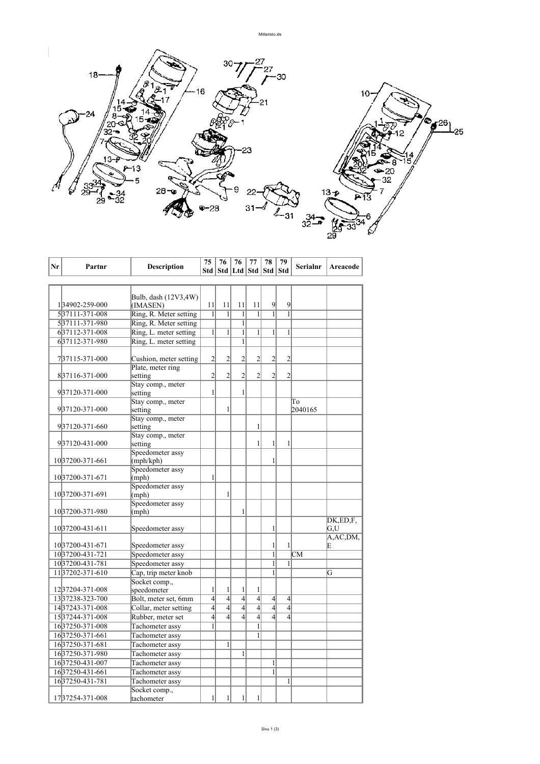

| Nr | Partnr               | <b>Description</b>          | 75             | 76             | 76                                | 77             | 78             | 79               | Serialnr | Areacode   |
|----|----------------------|-----------------------------|----------------|----------------|-----------------------------------|----------------|----------------|------------------|----------|------------|
|    |                      |                             |                |                | Std   Std   Ltd   Std   Std   Std |                |                |                  |          |            |
|    |                      |                             |                |                |                                   |                |                |                  |          |            |
|    |                      |                             |                |                |                                   |                |                |                  |          |            |
|    |                      | Bulb, dash (12V3,4W)        |                |                |                                   |                |                |                  |          |            |
|    | 134902-259-000       | (IMASEN)                    | 11             | 11             | 11                                | 11             | 9              | 9                |          |            |
|    | 537111-371-008       | Ring, R. Meter setting      | $\mathbf{1}$   | 1              | 1                                 | 1              | 1              | 1                |          |            |
|    | 537111-371-980       | Ring, R. Meter setting      |                |                | $\mathbf{1}$                      |                |                |                  |          |            |
|    | 637112-371-008       | Ring, L. meter setting      | $\mathbf{1}$   | $\mathbf{1}$   | $\mathbf{1}$                      | $\mathbf{1}$   | 1              | 1                |          |            |
|    | 637112-371-980       | Ring, L. meter setting      |                |                | $\mathbf{1}$                      |                |                |                  |          |            |
|    |                      |                             |                |                |                                   |                |                |                  |          |            |
|    | 737115-371-000       | Cushion, meter setting      | $\overline{2}$ | $\overline{c}$ | $\overline{c}$                    | 2              | $\overline{2}$ | 2                |          |            |
|    |                      | Plate, meter ring           |                |                |                                   |                |                |                  |          |            |
|    | 837116-371-000       | setting                     | $\overline{2}$ | $\overline{2}$ | $\overline{2}$                    | $\overline{c}$ | $\overline{2}$ | $\overline{2}$   |          |            |
|    |                      | Stay comp., meter           |                |                |                                   |                |                |                  |          |            |
|    | 937120-371-000       | setting                     | $\mathbf{1}$   |                | 1                                 |                |                |                  |          |            |
|    |                      | Stay comp., meter           |                |                |                                   |                |                |                  | To       |            |
|    | 937120-371-000       | setting                     |                | $\mathbf{1}$   |                                   |                |                |                  | 2040165  |            |
|    |                      | Stay comp., meter           |                |                |                                   |                |                |                  |          |            |
|    | 937120-371-660       | setting                     |                |                |                                   | 1              |                |                  |          |            |
|    |                      | Stay comp., meter           |                |                |                                   | 1              |                |                  |          |            |
|    | 937120-431-000       | setting<br>Speedometer assy |                |                |                                   |                | 1              | 1                |          |            |
|    | 1037200-371-661      | (mph/kph)                   |                |                |                                   |                | 1              |                  |          |            |
|    |                      | Speedometer assy            |                |                |                                   |                |                |                  |          |            |
|    | 10 37200 - 371 - 671 | (mph)                       | $\mathbf{1}$   |                |                                   |                |                |                  |          |            |
|    |                      | Speedometer assy            |                |                |                                   |                |                |                  |          |            |
|    | 1037200-371-691      | (mph)                       |                | 1              |                                   |                |                |                  |          |            |
|    |                      | Speedometer assy            |                |                |                                   |                |                |                  |          |            |
|    | 1037200-371-980      | (mph)                       |                |                | 1                                 |                |                |                  |          |            |
|    |                      |                             |                |                |                                   |                |                |                  |          | DK,ED,F,   |
|    | 10 37200 - 431 - 611 | Speedometer assy            |                |                |                                   |                | 1              |                  |          | G.U        |
|    |                      |                             |                |                |                                   |                |                |                  |          | A, AC, DM, |
|    | 1037200-431-671      | Speedometer assy            |                |                |                                   |                | 1              | 1                |          | E          |
|    | 1037200-431-721      | Speedometer assy            |                |                |                                   |                | $\mathbf{1}$   |                  | CM       |            |
|    | 1037200-431-781      | Speedometer assy            |                |                |                                   |                | 1              | 1                |          |            |
|    | 1137202-371-610      | Cap, trip meter knob        |                |                |                                   |                | 1              |                  |          | G          |
|    |                      | Socket comp.,               |                |                |                                   |                |                |                  |          |            |
|    | 1237204-371-008      | speedometer                 | $\mathbf{1}$   | 1              | 1                                 | 1              |                |                  |          |            |
|    | 1337238-323-700      | Bolt, meter set, 6mm        | $\overline{4}$ | $\overline{4}$ | $\overline{4}$                    | $\overline{4}$ | $\overline{4}$ | $\left 4\right $ |          |            |
|    | 1437243-371-008      | Collar, meter setting       | $\overline{4}$ | $\overline{4}$ | $\overline{4}$                    | $\overline{4}$ | $\overline{4}$ | $\overline{4}$   |          |            |
|    | 1537244-371-008      | Rubber, meter set           | $\overline{4}$ | $\overline{4}$ | $\overline{4}$                    | $\overline{4}$ | $\overline{4}$ | $\overline{4}$   |          |            |
|    | 1637250-371-008      | Tachometer assy             | $\mathbf{1}$   |                |                                   | $\mathbf{1}$   |                |                  |          |            |
|    | 1637250-371-661      | Tachometer assy             |                |                |                                   | 1              |                |                  |          |            |
|    | 1637250-371-681      | Tachometer assy             |                | 1              |                                   |                |                |                  |          |            |
|    | 1637250-371-980      | Tachometer assy             |                |                | $\mathbf{1}$                      |                |                |                  |          |            |
|    | 1637250-431-007      | Tachometer assy             |                |                |                                   |                | $\mathbf{1}$   |                  |          |            |
|    | 1637250-431-661      | Tachometer assy             |                |                |                                   |                | $\overline{1}$ |                  |          |            |
|    | 1637250-431-781      | Tachometer assy             |                |                |                                   |                |                | 1                |          |            |
|    |                      | Socket comp.,               |                |                |                                   |                |                |                  |          |            |
|    | 1737254-371-008      | tachometer                  | 1              | 1              | 1                                 | $\mathbf{1}$   |                |                  |          |            |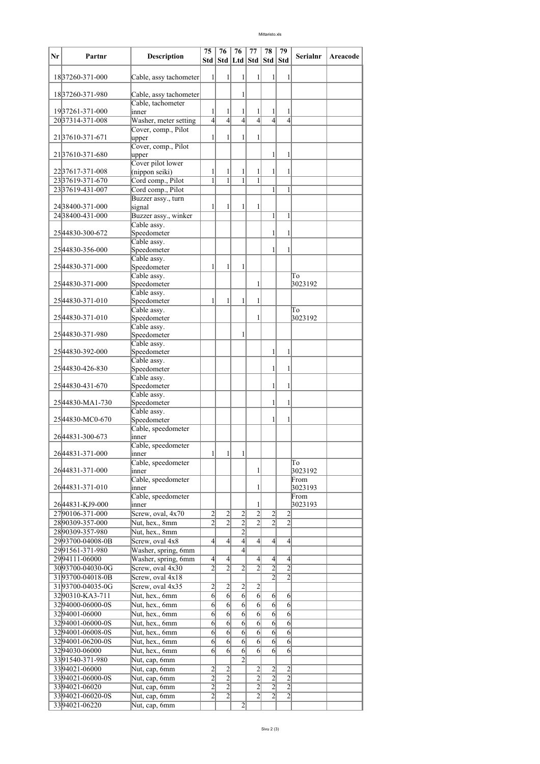## Mittaristo.xls

| Nr | Partnr                              | <b>Description</b>                      | 75<br>Std                        | 76                               | 76<br>Std   Ltd   Std            | 77                               | 78<br>Std                        | 79<br>Std                        | <b>Serialnr</b> | Areacode |
|----|-------------------------------------|-----------------------------------------|----------------------------------|----------------------------------|----------------------------------|----------------------------------|----------------------------------|----------------------------------|-----------------|----------|
|    | 1837260-371-000                     | Cable, assy tachometer                  | 1                                | 1                                | 1                                | 1                                | 1                                | 1                                |                 |          |
|    | 1837260-371-980                     | Cable, assy tachometer                  |                                  |                                  | 1                                |                                  |                                  |                                  |                 |          |
|    | 1937261-371-000                     | Cable, tachometer<br>inner              | 1                                | 1                                | 1                                | 1                                | 1                                | 1                                |                 |          |
|    | 20 37314-371-008                    | Washer, meter setting                   | $\overline{4}$                   | $\overline{4}$                   | $\overline{4}$                   | $\overline{4}$                   | $\overline{4}$                   | $\overline{4}$                   |                 |          |
|    | 2137610-371-671                     | Cover, comp., Pilot<br>upper            | 1                                | 1                                | 1                                | 1                                |                                  |                                  |                 |          |
|    | 2137610-371-680                     | Cover, comp., Pilot<br>upper            |                                  |                                  |                                  |                                  | 1                                | 1                                |                 |          |
|    |                                     | Cover pilot lower                       |                                  |                                  |                                  |                                  |                                  |                                  |                 |          |
|    | 2237617-371-008                     | (nippon seiki)                          | 1                                | 1                                | 1                                | 1                                | 1                                | 1                                |                 |          |
|    | 2337619-371-670                     | Cord comp., Pilot                       | 1                                | $\mathbf{1}$                     | $\mathbf{1}$                     | 1                                |                                  |                                  |                 |          |
|    | 2337619-431-007                     | Cord comp., Pilot<br>Buzzer assy., turn |                                  |                                  |                                  |                                  | 1                                | $\mathbf{1}$                     |                 |          |
|    | 24 38400 - 371 - 000                | signal                                  | 1                                | 1                                | 1                                | 1                                |                                  |                                  |                 |          |
|    | 24 38400-431-000                    | Buzzer assy., winker                    |                                  |                                  |                                  |                                  | $\mathbf{1}$                     | $\mathbf{1}$                     |                 |          |
|    |                                     | Cable assy.                             |                                  |                                  |                                  |                                  |                                  |                                  |                 |          |
|    | 25 44830 - 300 - 672                | Speedometer                             |                                  |                                  |                                  |                                  | 1                                | 1                                |                 |          |
|    |                                     | Cable assy.                             |                                  |                                  |                                  |                                  |                                  |                                  |                 |          |
|    | 25 44830 - 356 - 000                | Speedometer<br>Cable assy.              |                                  |                                  |                                  |                                  | 1                                | 1                                |                 |          |
|    | 25 44830-371-000                    | Speedometer                             | 1                                | $\mathbf{1}$                     | 1                                |                                  |                                  |                                  |                 |          |
|    |                                     | Cable assy.                             |                                  |                                  |                                  |                                  |                                  |                                  | To              |          |
|    | 25 44830 - 371 - 000                | Speedometer                             |                                  |                                  |                                  | 1                                |                                  |                                  | 3023192         |          |
|    |                                     | Cable assy.                             |                                  |                                  |                                  |                                  |                                  |                                  |                 |          |
|    | 25 44830 - 371 - 010                | Speedometer                             | 1                                | 1                                | 1                                | 1                                |                                  |                                  |                 |          |
|    |                                     | Cable assy.                             |                                  |                                  |                                  |                                  |                                  |                                  | To              |          |
|    | 2544830-371-010                     | Speedometer<br>Cable assy.              |                                  |                                  |                                  | 1                                |                                  |                                  | 3023192         |          |
|    | 25 44830 - 371 - 980                | Speedometer                             |                                  |                                  | 1                                |                                  |                                  |                                  |                 |          |
|    |                                     | Cable assy.                             |                                  |                                  |                                  |                                  |                                  |                                  |                 |          |
|    | 25 44830-392-000                    | Speedometer                             |                                  |                                  |                                  |                                  | 1                                | 1                                |                 |          |
|    | 25 44830 - 426 - 830                | Cable assy.<br>Speedometer              |                                  |                                  |                                  |                                  | 1                                | 1                                |                 |          |
|    |                                     | Cable assy.                             |                                  |                                  |                                  |                                  |                                  |                                  |                 |          |
|    | 25 44830-431-670                    | Speedometer                             |                                  |                                  |                                  |                                  | 1                                | 1                                |                 |          |
|    |                                     | Cable assy.                             |                                  |                                  |                                  |                                  |                                  |                                  |                 |          |
|    | 25 44830 - MA1 - 730                | Speedometer                             |                                  |                                  |                                  |                                  | 1                                | 1                                |                 |          |
|    | 25 44830 - MC0 - 670                | Cable assy.<br>Speedometer              |                                  |                                  |                                  |                                  | 1                                | 1                                |                 |          |
|    |                                     | Cable, speedometer                      |                                  |                                  |                                  |                                  |                                  |                                  |                 |          |
|    | 2644831-300-673                     | inner                                   |                                  |                                  |                                  |                                  |                                  |                                  |                 |          |
|    |                                     | Cable, speedometer                      |                                  |                                  |                                  |                                  |                                  |                                  |                 |          |
|    | 26 44831-371-000                    | inner                                   | $\frac{1}{2}$                    | 11                               | $\frac{1}{2}$                    |                                  |                                  |                                  |                 |          |
|    | 2644831-371-000                     | Cable, speedometer                      |                                  |                                  |                                  | 1                                |                                  |                                  | To<br>3023192   |          |
|    |                                     | inner<br>Cable, speedometer             |                                  |                                  |                                  |                                  |                                  |                                  | From            |          |
|    | 2644831-371-010                     | inner                                   |                                  |                                  |                                  | $\mathbf{1}$                     |                                  |                                  | 3023193         |          |
|    |                                     | Cable, speedometer                      |                                  |                                  |                                  |                                  |                                  |                                  | From            |          |
|    | 26 44831 - KJ 9-000                 | inner                                   |                                  |                                  |                                  | 1                                |                                  |                                  | 3023193         |          |
|    | 2790106-371-000                     | Screw, oval, 4x70                       | $\overline{2}$                   | $\overline{2}$                   | $\overline{2}$                   | $\overline{2}$                   | $\overline{c}$                   | $\overline{c}$                   |                 |          |
|    | 2890309-357-000                     | Nut, hex., 8mm                          | $\overline{2}$                   | $\overline{2}$                   | $\overline{2}$                   | $\overline{2}$                   | $\overline{2}$                   | $\overline{2}$                   |                 |          |
|    | 2890309-357-980                     | Nut, hex., 8mm                          | $\overline{4}$                   | $\overline{4}$                   | $\overline{2}$<br>$\overline{4}$ | $\overline{4}$                   | $\overline{4}$                   | $\left 4\right $                 |                 |          |
|    | 2993700-04008-0B<br>2991561-371-980 | Screw, oval 4x8<br>Washer, spring, 6mm  |                                  |                                  | $\overline{4}$                   |                                  |                                  |                                  |                 |          |
|    | 2994111-06000                       | Washer, spring, 6mm                     | $\left 4\right $                 | $\overline{4}$                   |                                  | $\left 4\right $                 | $\overline{4}$                   | $\left 4\right $                 |                 |          |
|    | 3093700-04030-0G                    | Screw, oval 4x30                        | $\overline{2}$                   | $\overline{2}$                   | $\overline{2}$                   | $\overline{2}$                   | $\overline{c}$                   | $\overline{c}$                   |                 |          |
|    | 3193700-04018-0B                    | Screw, oval 4x18                        |                                  |                                  |                                  |                                  | $\overline{2}$                   | $\overline{2}$                   |                 |          |
|    | 3193700-04035-0G                    | Screw, oval 4x35                        | $\overline{2}$                   | $\overline{2}$                   | $\overline{2}$                   | $\overline{2}$                   |                                  |                                  |                 |          |
|    | 3290310-KA3-711                     | Nut, hex., 6mm                          | $\overline{6}$                   | $\overline{6}$                   | $\overline{6}$                   | $6 \times$                       | 6                                | $\overline{6}$                   |                 |          |
|    | 3294000-06000-0S                    | Nut, hex., 6mm                          | $\overline{6}$                   | $\overline{6}$                   | $\overline{6}$                   | $\overline{6}$                   | $\overline{6}$                   | $\overline{6}$                   |                 |          |
|    | 3294001-06000                       | Nut, hex., 6mm                          | $\overline{6}$                   | $6 \mid$                         | $\overline{6}$                   | 6                                | 6                                | 6                                |                 |          |
|    | 3294001-06000-0S                    | Nut, hex., 6mm                          | $\overline{6}$                   | $\overline{6}$                   | $\overline{6}$                   | $\overline{6}$                   | 6                                | 6                                |                 |          |
|    | 3294001-06008-0S                    | Nut, hex., 6mm                          | 6                                | 6                                | $\overline{6}$                   | 6                                | 6                                | $\overline{6}$                   |                 |          |
|    | 3294001-06200-0S                    | Nut, hex., 6mm                          | $6 \times$                       | $\overline{6}$                   | $\overline{6}$                   | 6                                | 6                                | $6 \mid$                         |                 |          |
|    | 3294030-06000                       | Nut, hex., 6mm                          | $\overline{6}$                   | $\overline{6}$                   | $\overline{6}$                   | $\overline{6}$                   | 6                                | $\vert 6 \vert$                  |                 |          |
|    | 3391540-371-980                     | Nut, cap, 6mm                           |                                  |                                  | $\overline{2}$                   |                                  |                                  |                                  |                 |          |
|    | 3394021-06000<br>3394021-06000-0S   | Nut, cap, 6mm                           | $\overline{c}$<br>$\overline{2}$ | $\overline{2}$<br>$\overline{2}$ |                                  | $\overline{2}$<br>$\overline{2}$ | $\overline{c}$<br>$\overline{2}$ | $\overline{c}$<br>$\overline{2}$ |                 |          |
|    | 3394021-06020                       | Nut, cap, 6mm<br>Nut, cap, 6mm          | $\overline{2}$                   | $\overline{2}$                   |                                  | $\overline{2}$                   | $\overline{c}$                   | $\overline{2}$                   |                 |          |
|    | 3394021-06020-0S                    | Nut, cap, 6mm                           | $\overline{2}$                   | $\overline{2}$                   |                                  | $\overline{2}$                   | $\overline{2}$                   | $\overline{2}$                   |                 |          |
|    | 3394021-06220                       | Nut, cap, 6mm                           |                                  |                                  | $\overline{2}$                   |                                  |                                  |                                  |                 |          |
|    |                                     |                                         |                                  |                                  |                                  |                                  |                                  |                                  |                 |          |